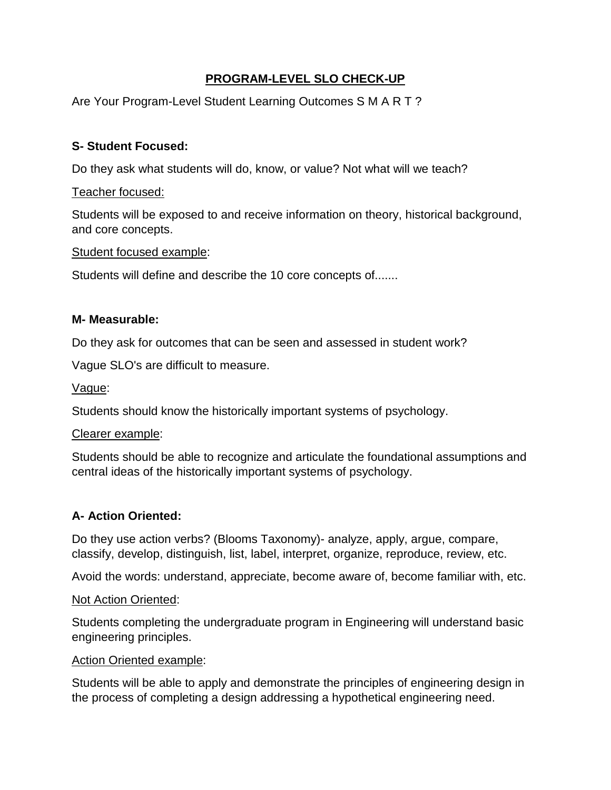# **PROGRAM-LEVEL SLO CHECK-UP**

Are Your Program-Level Student Learning Outcomes S M A R T ?

# **S- Student Focused:**

Do they ask what students will do, know, or value? Not what will we teach?

### Teacher focused:

Students will be exposed to and receive information on theory, historical background, and core concepts.

#### Student focused example:

Students will define and describe the 10 core concepts of.......

## **M- Measurable:**

Do they ask for outcomes that can be seen and assessed in student work?

Vague SLO's are difficult to measure.

Vague:

Students should know the historically important systems of psychology.

#### Clearer example:

Students should be able to recognize and articulate the foundational assumptions and central ideas of the historically important systems of psychology.

## **A- Action Oriented:**

Do they use action verbs? (Blooms Taxonomy)- analyze, apply, argue, compare, classify, develop, distinguish, list, label, interpret, organize, reproduce, review, etc.

Avoid the words: understand, appreciate, become aware of, become familiar with, etc.

#### Not Action Oriented:

Students completing the undergraduate program in Engineering will understand basic engineering principles.

#### Action Oriented example:

Students will be able to apply and demonstrate the principles of engineering design in the process of completing a design addressing a hypothetical engineering need.